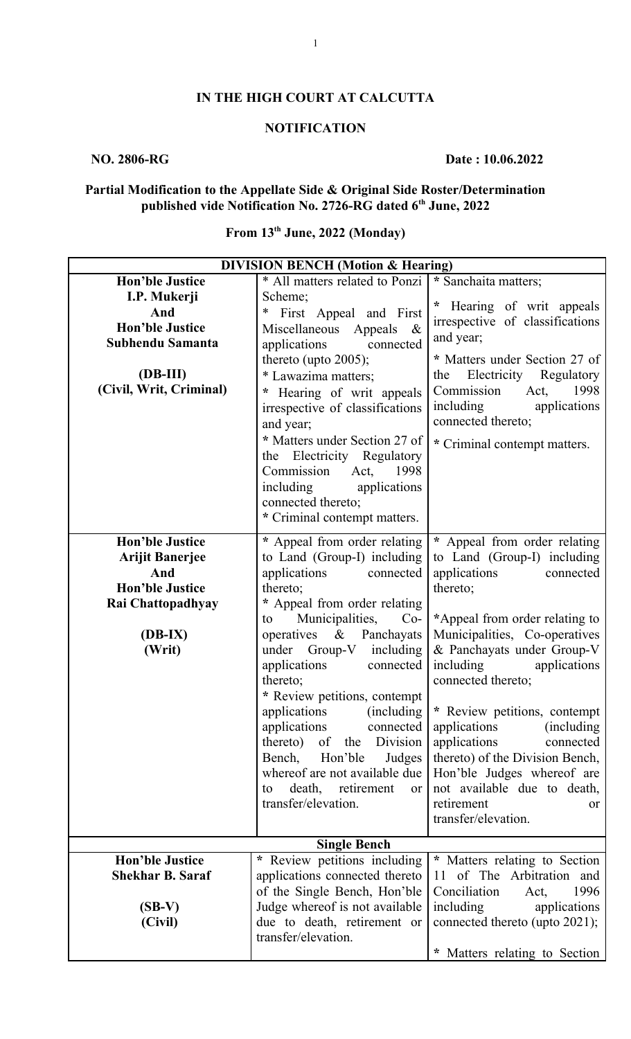## **IN THE HIGH COURT AT CALCUTTA**

## **NOTIFICATION**

## **NO. 2806-RG** Date : 10.06.2022

### **Partial Modification to the Appellate Side & Original Side Roster/Determination published vide Notification No. 2726-RG dated 6th June, 2022**

# **From 13th June, 2022 (Monday)**

| <b>DIVISION BENCH (Motion &amp; Hearing)</b> |                                   |                                    |  |
|----------------------------------------------|-----------------------------------|------------------------------------|--|
| <b>Hon'ble Justice</b>                       | * All matters related to Ponzi    | * Sanchaita matters;               |  |
| I.P. Mukerji                                 | Scheme;                           |                                    |  |
| And                                          | First Appeal and First<br>$\ast$  | * Hearing of writ appeals          |  |
| <b>Hon'ble Justice</b>                       | Miscellaneous Appeals<br>$\alpha$ | irrespective of classifications    |  |
| Subhendu Samanta                             | applications<br>connected         | and year;                          |  |
|                                              | thereto (upto 2005);              | * Matters under Section 27 of      |  |
| $(DB-III)$                                   | * Lawazima matters;               | Electricity Regulatory<br>the      |  |
| (Civil, Writ, Criminal)                      | * Hearing of writ appeals         | 1998<br>Commission<br>Act,         |  |
|                                              | irrespective of classifications   | including<br>applications          |  |
|                                              | and year;                         | connected thereto;                 |  |
|                                              | * Matters under Section 27 of     | * Criminal contempt matters.       |  |
|                                              | the Electricity Regulatory        |                                    |  |
|                                              | Commission<br>Act, 1998           |                                    |  |
|                                              | including<br>applications         |                                    |  |
|                                              | connected thereto;                |                                    |  |
|                                              | * Criminal contempt matters.      |                                    |  |
| <b>Hon'ble Justice</b>                       | * Appeal from order relating      | * Appeal from order relating       |  |
| <b>Arijit Banerjee</b>                       | to Land (Group-I) including       | to Land (Group-I) including        |  |
| And                                          | applications<br>connected         | applications<br>connected          |  |
| <b>Hon'ble Justice</b>                       | thereto;                          | thereto;                           |  |
| Rai Chattopadhyay                            | * Appeal from order relating      |                                    |  |
|                                              | Municipalities,<br>$Co-$<br>to    | *Appeal from order relating to     |  |
| $(DB-IX)$                                    | operatives & Panchayats           | Municipalities, Co-operatives      |  |
| (Writ)                                       | under Group-V including           | & Panchayats under Group-V         |  |
|                                              | applications<br>connected         | including applications             |  |
|                                              | thereto;                          | connected thereto;                 |  |
|                                              | * Review petitions, contempt      |                                    |  |
|                                              | applications<br>(including)       | * Review petitions, contempt       |  |
|                                              | applications<br>connected         | applications<br><i>(including)</i> |  |
|                                              | thereto) of<br>the Division       | applications<br>connected          |  |
|                                              | Bench,<br>Hon'ble<br>Judges       | thereto) of the Division Bench,    |  |
|                                              | whereof are not available due     | Hon'ble Judges whereof are         |  |
|                                              | death, retirement<br>or<br>to     | not available due to death,        |  |
|                                              | transfer/elevation.               | retirement<br><sub>or</sub>        |  |
|                                              |                                   | transfer/elevation.                |  |
|                                              | <b>Single Bench</b>               |                                    |  |
| <b>Hon'ble Justice</b>                       | * Review petitions including      | * Matters relating to Section      |  |
| <b>Shekhar B. Saraf</b>                      | applications connected thereto    | 11 of The Arbitration and          |  |
|                                              | of the Single Bench, Hon'ble      | 1996<br>Conciliation<br>Act,       |  |
| $(SB-V)$                                     | Judge whereof is not available    | including<br>applications          |  |
| (Civil)                                      | due to death, retirement or       | connected thereto (upto 2021);     |  |
|                                              | transfer/elevation.               |                                    |  |
|                                              |                                   | * Matters relating to Section      |  |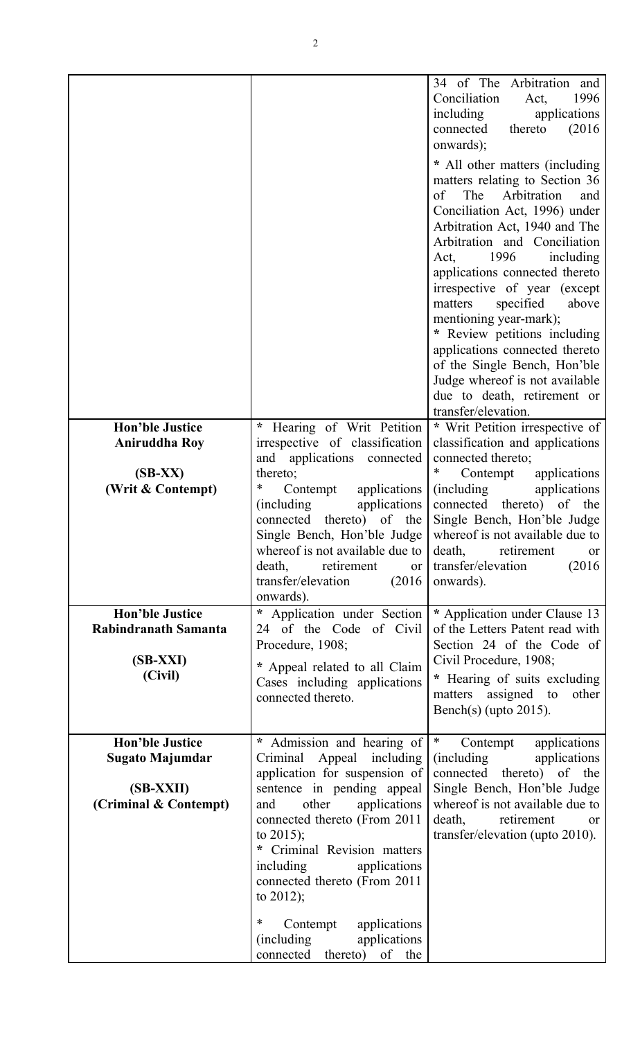|                                                                                        |                                                                                                                                                                                                                                                         | 34 of The Arbitration and<br>Conciliation<br>1996<br>Act,<br>including applications<br>thereto<br>(2016)<br>connected<br>onwards);<br>* All other matters (including<br>matters relating to Section 36<br>of The Arbitration<br>and<br>Conciliation Act, 1996) under<br>Arbitration Act, 1940 and The<br>Arbitration and Conciliation<br>1996<br>including<br>Act,<br>applications connected thereto<br>irrespective of year (except<br>matters<br>specified<br>above<br>mentioning year-mark);<br>* Review petitions including<br>applications connected thereto<br>of the Single Bench, Hon'ble<br>Judge whereof is not available<br>due to death, retirement or<br>transfer/elevation. |
|----------------------------------------------------------------------------------------|---------------------------------------------------------------------------------------------------------------------------------------------------------------------------------------------------------------------------------------------------------|-------------------------------------------------------------------------------------------------------------------------------------------------------------------------------------------------------------------------------------------------------------------------------------------------------------------------------------------------------------------------------------------------------------------------------------------------------------------------------------------------------------------------------------------------------------------------------------------------------------------------------------------------------------------------------------------|
| <b>Hon'ble Justice</b><br><b>Aniruddha Roy</b>                                         | * Hearing of Writ Petition<br>irrespective of classification                                                                                                                                                                                            | * Writ Petition irrespective of<br>classification and applications                                                                                                                                                                                                                                                                                                                                                                                                                                                                                                                                                                                                                        |
| $(SB-XX)$<br>(Writ & Contempt)                                                         | and applications connected<br>thereto;<br>*<br>Contempt<br>applications<br>(including<br>applications<br>thereto) of the<br>connected<br>whereof is not available due to<br>death, retirement<br><b>or</b><br>transfer/elevation<br>(2016)<br>onwards). | connected thereto;<br>$\ast$<br>Contempt<br>applications<br><i>(including)</i><br>applications<br>connected thereto) of the<br>Single Bench, Hon'ble Judge<br>Single Bench, Hon'ble Judge   whereof is not available due to<br>death,<br>retirement<br>or<br>(2016)<br>transfer/elevation<br>onwards).                                                                                                                                                                                                                                                                                                                                                                                    |
| <b>Hon'ble Justice</b><br>Rabindranath Samanta<br>$(SB-XXI)$<br>(Civil)                | Application under Section<br>$\ast$<br>24 of the Code of Civil<br>Procedure, 1908;<br>* Appeal related to all Claim<br>Cases including applications<br>connected thereto.                                                                               | * Application under Clause 13<br>of the Letters Patent read with<br>Section 24 of the Code of<br>Civil Procedure, 1908;<br>* Hearing of suits excluding<br>matters assigned to<br>other<br>Bench(s) (upto $2015$ ).                                                                                                                                                                                                                                                                                                                                                                                                                                                                       |
| <b>Hon'ble Justice</b><br><b>Sugato Majumdar</b><br>(SB-XXII)<br>(Criminal & Contempt) | * Admission and hearing of<br>Criminal Appeal including<br>application for suspension of<br>sentence in pending appeal<br>other<br>applications<br>and<br>connected thereto (From 2011<br>to $2015$ ;<br>Criminal Revision matters                      | $\ast$<br>applications<br>Contempt<br><i>(including)</i><br>applications<br>connected thereto) of the<br>Single Bench, Hon'ble Judge<br>whereof is not available due to<br>death, retirement<br>or<br>transfer/elevation (upto 2010).                                                                                                                                                                                                                                                                                                                                                                                                                                                     |
|                                                                                        | applications<br>including<br>connected thereto (From 2011<br>to $2012$ ;<br>Contempt<br>applications<br>∗<br><i>(including)</i><br>applications<br>connected thereto) of the                                                                            |                                                                                                                                                                                                                                                                                                                                                                                                                                                                                                                                                                                                                                                                                           |